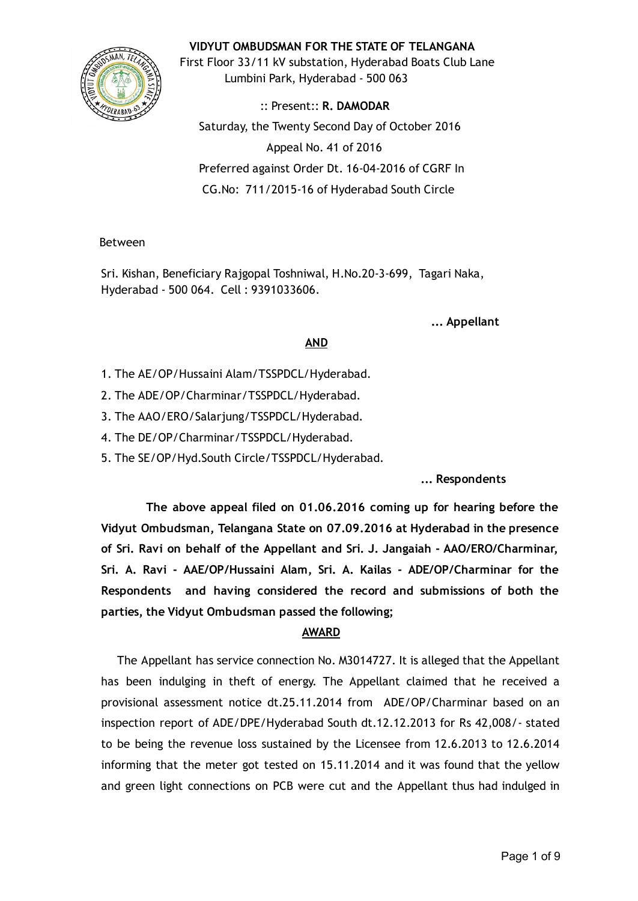### VIDYUT OMBUDSMAN FOR THE STATE OF TELANGANA



First Floor 33/11 kV substation, Hyderabad Boats Club Lane Lumbini Park, Hyderabad ‐ 500 063

:: Present:: R. DAMODAR Saturday, the Twenty Second Day of October 2016 Appeal No. 41 of 2016 Preferred against Order Dt. 16‐04‐2016 of CGRF In CG.No: 711/2015‐16 of Hyderabad South Circle

#### Between

Sri. Kishan, Beneficiary Rajgopal Toshniwal, H.No.20‐3‐699, Tagari Naka, Hyderabad ‐ 500 064. Cell : 9391033606.

... Appellant

## AND

- 1. The AE/OP/Hussaini Alam/TSSPDCL/Hyderabad.
- 2. The ADE/OP/Charminar/TSSPDCL/Hyderabad.
- 3. The AAO/ERO/Salarjung/TSSPDCL/Hyderabad.
- 4. The DE/OP/Charminar/TSSPDCL/Hyderabad.
- 5. The SE/OP/Hyd.South Circle/TSSPDCL/Hyderabad.

... Respondents

The above appeal filed on 01.06.2016 coming up for hearing before the Vidyut Ombudsman, Telangana State on 07.09.2016 at Hyderabad in the presence of Sri. Ravi on behalf of the Appellant and Sri. J. Jangaiah ‐ AAO/ERO/Charminar, Sri. A. Ravi ‐ AAE/OP/Hussaini Alam, Sri. A. Kailas ‐ ADE/OP/Charminar for the Respondents and having considered the record and submissions of both the parties, the Vidyut Ombudsman passed the following;

### AWARD

The Appellant has service connection No. M3014727. It is alleged that the Appellant has been indulging in theft of energy. The Appellant claimed that he received a provisional assessment notice dt.25.11.2014 from ADE/OP/Charminar based on an inspection report of ADE/DPE/Hyderabad South dt.12.12.2013 for Rs 42,008/‐ stated to be being the revenue loss sustained by the Licensee from 12.6.2013 to 12.6.2014 informing that the meter got tested on 15.11.2014 and it was found that the yellow and green light connections on PCB were cut and the Appellant thus had indulged in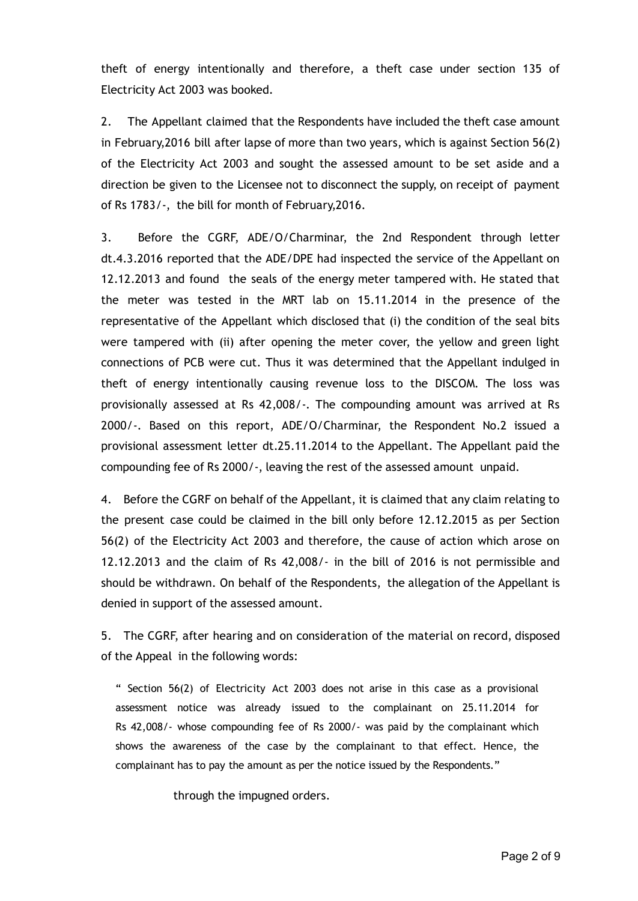theft of energy intentionally and therefore, a theft case under section 135 of Electricity Act 2003 was booked.

2. The Appellant claimed that the Respondents have included the theft case amount in February,2016 bill after lapse of more than two years, which is against Section 56(2) of the Electricity Act 2003 and sought the assessed amount to be set aside and a direction be given to the Licensee not to disconnect the supply, on receipt of payment of Rs 1783/‐, the bill for month of February,2016.

3. Before the CGRF, ADE/O/Charminar, the 2nd Respondent through letter dt.4.3.2016 reported that the ADE/DPE had inspected the service of the Appellant on 12.12.2013 and found the seals of the energy meter tampered with. He stated that the meter was tested in the MRT lab on 15.11.2014 in the presence of the representative of the Appellant which disclosed that (i) the condition of the seal bits were tampered with (ii) after opening the meter cover, the yellow and green light connections of PCB were cut. Thus it was determined that the Appellant indulged in theft of energy intentionally causing revenue loss to the DISCOM. The loss was provisionally assessed at Rs 42,008/‐. The compounding amount was arrived at Rs 2000/‐. Based on this report, ADE/O/Charminar, the Respondent No.2 issued a provisional assessment letter dt.25.11.2014 to the Appellant. The Appellant paid the compounding fee of Rs 2000/‐, leaving the rest of the assessed amount unpaid.

4. Before the CGRF on behalf of the Appellant, it is claimed that any claim relating to the present case could be claimed in the bill only before 12.12.2015 as per Section 56(2) of the Electricity Act 2003 and therefore, the cause of action which arose on 12.12.2013 and the claim of Rs 42,008/‐ in the bill of 2016 is not permissible and should be withdrawn. On behalf of the Respondents, the allegation of the Appellant is denied in support of the assessed amount.

5. The CGRF, after hearing and on consideration of the material on record, disposed of the Appeal in the following words:

" Section 56(2) of Electricity Act 2003 does not arise in this case as a provisional assessment notice was already issued to the complainant on 25.11.2014 for Rs 42,008/‐ whose compounding fee of Rs 2000/‐ was paid by the complainant which shows the awareness of the case by the complainant to that effect. Hence, the complainant has to pay the amount as per the notice issued by the Respondents."

through the impugned orders.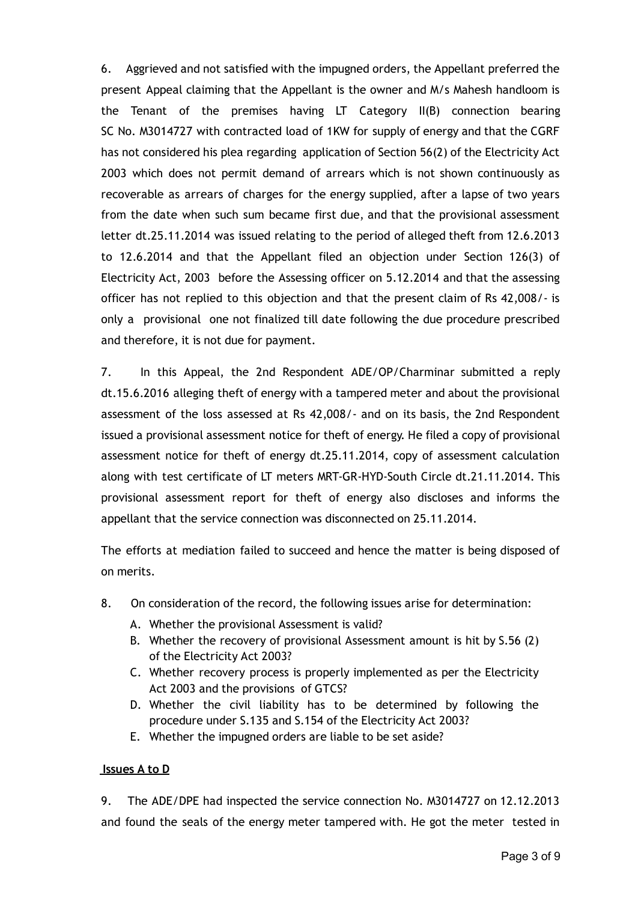6. Aggrieved and not satisfied with the impugned orders, the Appellant preferred the present Appeal claiming that the Appellant is the owner and M/s Mahesh handloom is the Tenant of the premises having LT Category II(B) connection bearing SC No. M3014727 with contracted load of 1KW for supply of energy and that the CGRF has not considered his plea regarding application of Section 56(2) of the Electricity Act 2003 which does not permit demand of arrears which is not shown continuously as recoverable as arrears of charges for the energy supplied, after a lapse of two years from the date when such sum became first due, and that the provisional assessment letter dt.25.11.2014 was issued relating to the period of alleged theft from 12.6.2013 to 12.6.2014 and that the Appellant filed an objection under Section 126(3) of Electricity Act, 2003 before the Assessing officer on 5.12.2014 and that the assessing officer has not replied to this objection and that the present claim of Rs 42,008/‐ is only a provisional one not finalized till date following the due procedure prescribed and therefore, it is not due for payment.

7. In this Appeal, the 2nd Respondent ADE/OP/Charminar submitted a reply dt.15.6.2016 alleging theft of energy with a tampered meter and about the provisional assessment of the loss assessed at Rs 42,008/‐ and on its basis, the 2nd Respondent issued a provisional assessment notice for theft of energy. He filed a copy of provisional assessment notice for theft of energy dt.25.11.2014, copy of assessment calculation along with test certificate of LT meters MRT‐GR‐HYD‐South Circle dt.21.11.2014. This provisional assessment report for theft of energy also discloses and informs the appellant that the service connection was disconnected on 25.11.2014.

The efforts at mediation failed to succeed and hence the matter is being disposed of on merits.

- 8. On consideration of the record, the following issues arise for determination:
	- A. Whether the provisional Assessment is valid?
	- B. Whether the recovery of provisional Assessment amount is hit by S.56 (2) of the Electricity Act 2003?
	- C. Whether recovery process is properly implemented as per the Electricity Act 2003 and the provisions of GTCS?
	- D. Whether the civil liability has to be determined by following the procedure under S.135 and S.154 of the Electricity Act 2003?
	- E. Whether the impugned orders are liable to be set aside?

### Issues A to D

9. The ADE/DPE had inspected the service connection No. M3014727 on 12.12.2013 and found the seals of the energy meter tampered with. He got the meter tested in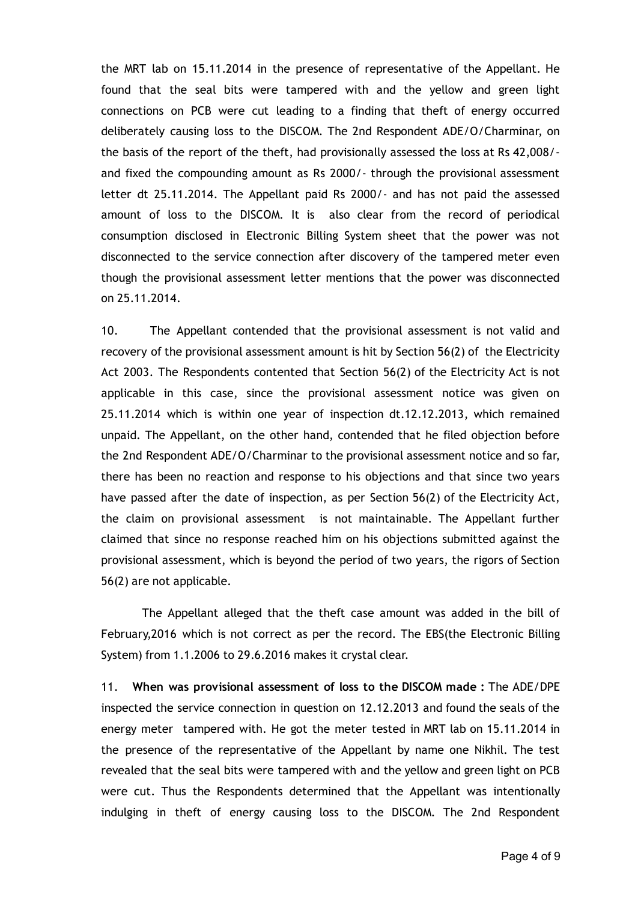the MRT lab on 15.11.2014 in the presence of representative of the Appellant. He found that the seal bits were tampered with and the yellow and green light connections on PCB were cut leading to a finding that theft of energy occurred deliberately causing loss to the DISCOM. The 2nd Respondent ADE/O/Charminar, on the basis of the report of the theft, had provisionally assessed the loss at Rs 42,008/‐ and fixed the compounding amount as Rs 2000/‐ through the provisional assessment letter dt 25.11.2014. The Appellant paid Rs 2000/‐ and has not paid the assessed amount of loss to the DISCOM. It is also clear from the record of periodical consumption disclosed in Electronic Billing System sheet that the power was not disconnected to the service connection after discovery of the tampered meter even though the provisional assessment letter mentions that the power was disconnected on 25.11.2014.

10. The Appellant contended that the provisional assessment is not valid and recovery of the provisional assessment amount is hit by Section 56(2) of the Electricity Act 2003. The Respondents contented that Section 56(2) of the Electricity Act is not applicable in this case, since the provisional assessment notice was given on 25.11.2014 which is within one year of inspection dt.12.12.2013, which remained unpaid. The Appellant, on the other hand, contended that he filed objection before the 2nd Respondent ADE/O/Charminar to the provisional assessment notice and so far, there has been no reaction and response to his objections and that since two years have passed after the date of inspection, as per Section 56(2) of the Electricity Act, the claim on provisional assessment is not maintainable. The Appellant further claimed that since no response reached him on his objections submitted against the provisional assessment, which is beyond the period of two years, the rigors of Section 56(2) are not applicable.

The Appellant alleged that the theft case amount was added in the bill of February,2016 which is not correct as per the record. The EBS(the Electronic Billing System) from 1.1.2006 to 29.6.2016 makes it crystal clear.

11. When was provisional assessment of loss to the DISCOM made : The ADE/DPE inspected the service connection in question on 12.12.2013 and found the seals of the energy meter tampered with. He got the meter tested in MRT lab on 15.11.2014 in the presence of the representative of the Appellant by name one Nikhil. The test revealed that the seal bits were tampered with and the yellow and green light on PCB were cut. Thus the Respondents determined that the Appellant was intentionally indulging in theft of energy causing loss to the DISCOM. The 2nd Respondent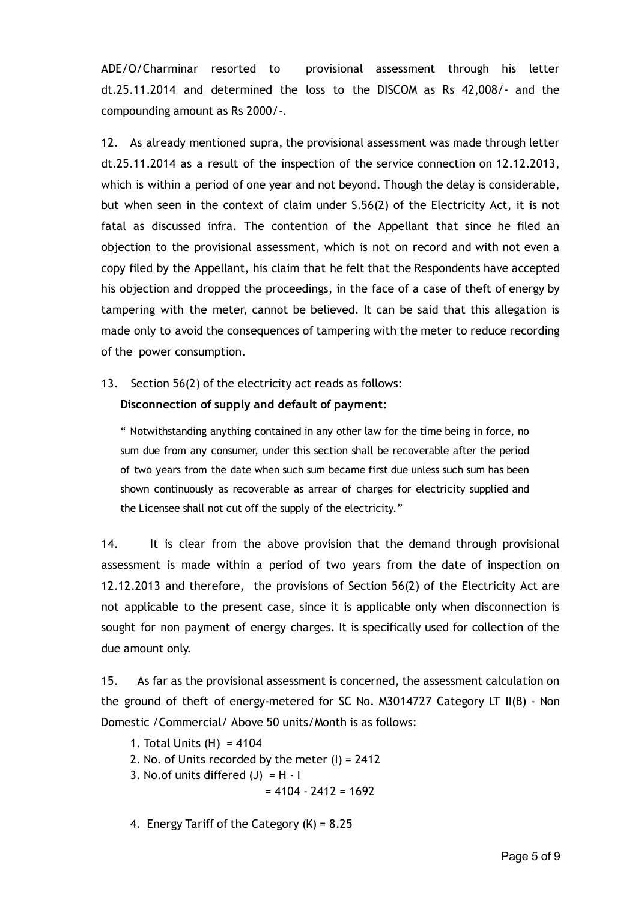ADE/O/Charminar resorted to provisional assessment through his letter dt.25.11.2014 and determined the loss to the DISCOM as Rs 42,008/‐ and the compounding amount as Rs 2000/‐.

12. As already mentioned supra, the provisional assessment was made through letter dt.25.11.2014 as a result of the inspection of the service connection on 12.12.2013, which is within a period of one year and not beyond. Though the delay is considerable, but when seen in the context of claim under S.56(2) of the Electricity Act, it is not fatal as discussed infra. The contention of the Appellant that since he filed an objection to the provisional assessment, which is not on record and with not even a copy filed by the Appellant, his claim that he felt that the Respondents have accepted his objection and dropped the proceedings, in the face of a case of theft of energy by tampering with the meter, cannot be believed. It can be said that this allegation is made only to avoid the consequences of tampering with the meter to reduce recording of the power consumption.

13. Section 56(2) of the electricity act reads as follows:

### Disconnection of supply and default of payment:

" Notwithstanding anything contained in any other law for the time being in force, no sum due from any consumer, under this section shall be recoverable after the period of two years from the date when such sum became first due unless such sum has been shown continuously as recoverable as arrear of charges for electricity supplied and the Licensee shall not cut off the supply of the electricity."

14. It is clear from the above provision that the demand through provisional assessment is made within a period of two years from the date of inspection on 12.12.2013 and therefore, the provisions of Section 56(2) of the Electricity Act are not applicable to the present case, since it is applicable only when disconnection is sought for non payment of energy charges. It is specifically used for collection of the due amount only.

15. As far as the provisional assessment is concerned, the assessment calculation on the ground of theft of energy-metered for SC No. M3014727 Category LT II(B) - Non Domestic /Commercial/ Above 50 units/Month is as follows:

- 1. Total Units (H) = 4104
- 2. No. of Units recorded by the meter (I) = 2412
- 3. No.of units differed  $(J) = H I$

 $= 4104 - 2412 = 1692$ 

4. Energy Tariff of the Category (K) = 8.25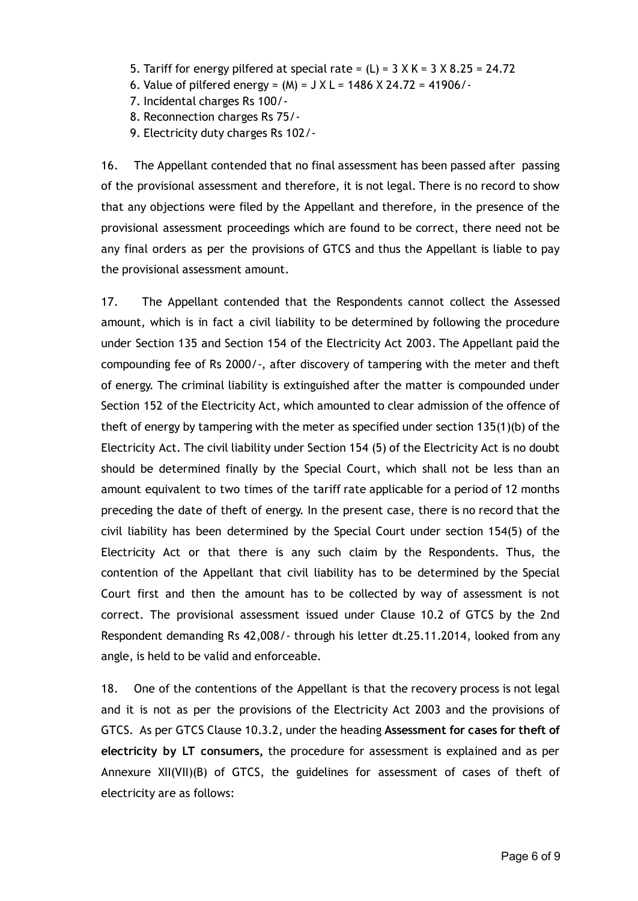- 5. Tariff for energy pilfered at special rate =  $(L)$  = 3 X K = 3 X 8.25 = 24.72
- 6. Value of pilfered energy =  $(M)$  =  $J X L = 1486 X 24.72 = 41906/-$
- 7. Incidental charges Rs 100/‐
- 8. Reconnection charges Rs 75/‐
- 9. Electricity duty charges Rs 102/‐

16. The Appellant contended that no final assessment has been passed after passing of the provisional assessment and therefore, it is not legal. There is no record to show that any objections were filed by the Appellant and therefore, in the presence of the provisional assessment proceedings which are found to be correct, there need not be any final orders as per the provisions of GTCS and thus the Appellant is liable to pay the provisional assessment amount.

17. The Appellant contended that the Respondents cannot collect the Assessed amount, which is in fact a civil liability to be determined by following the procedure under Section 135 and Section 154 of the Electricity Act 2003. The Appellant paid the compounding fee of Rs 2000/‐, after discovery of tampering with the meter and theft of energy. The criminal liability is extinguished after the matter is compounded under Section 152 of the Electricity Act, which amounted to clear admission of the offence of theft of energy by tampering with the meter as specified under section 135(1)(b) of the Electricity Act. The civil liability under Section 154 (5) of the Electricity Act is no doubt should be determined finally by the Special Court, which shall not be less than an amount equivalent to two times of the tariff rate applicable for a period of 12 months preceding the date of theft of energy. In the present case, there is no record that the civil liability has been determined by the Special Court under section 154(5) of the Electricity Act or that there is any such claim by the Respondents. Thus, the contention of the Appellant that civil liability has to be determined by the Special Court first and then the amount has to be collected by way of assessment is not correct. The provisional assessment issued under Clause 10.2 of GTCS by the 2nd Respondent demanding Rs 42,008/‐ through his letter dt.25.11.2014, looked from any angle, is held to be valid and enforceable.

18. One of the contentions of the Appellant is that the recovery process is not legal and it is not as per the provisions of the Electricity Act 2003 and the provisions of GTCS. As per GTCS Clause 10.3.2, under the heading Assessment for cases for theft of electricity by LT consumers, the procedure for assessment is explained and as per Annexure XII(VII)(B) of GTCS, the guidelines for assessment of cases of theft of electricity are as follows: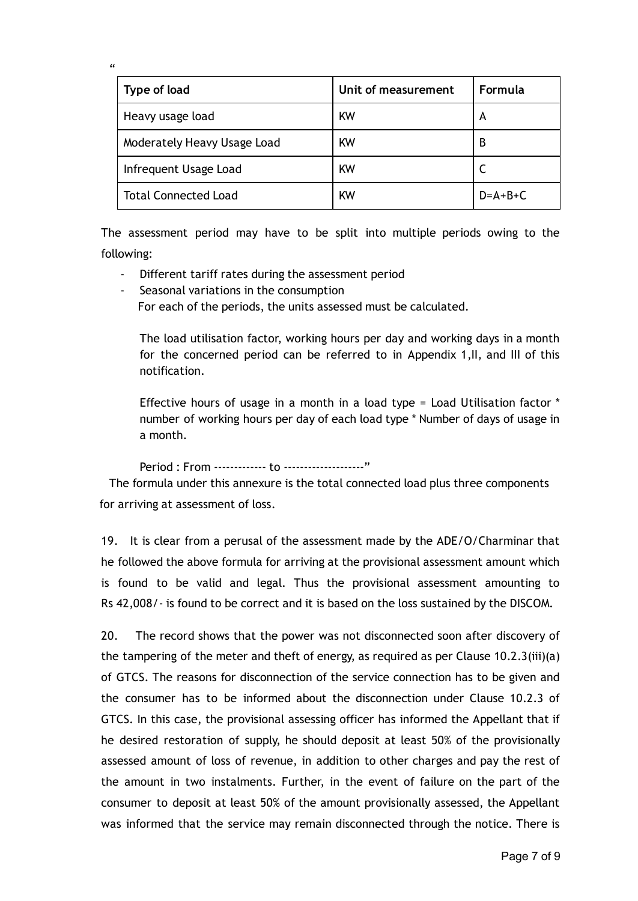| Type of load                | Unit of measurement | Formula   |
|-----------------------------|---------------------|-----------|
| Heavy usage load            | <b>KW</b>           | A         |
| Moderately Heavy Usage Load | KW                  | B         |
| Infrequent Usage Load       | KW                  |           |
| <b>Total Connected Load</b> | <b>KW</b>           | $D=A+B+C$ |

The assessment period may have to be split into multiple periods owing to the following:

Different tariff rates during the assessment period

 $\epsilon$ 

‐ Seasonal variations in the consumption For each of the periods, the units assessed must be calculated.

The load utilisation factor, working hours per day and working days in a month for the concerned period can be referred to in Appendix 1,II, and III of this notification.

Effective hours of usage in a month in a load type = Load Utilisation factor \* number of working hours per day of each load type \* Number of days of usage in a month.

Period : From ‐‐‐‐‐‐‐‐‐‐‐‐‐ to ‐‐‐‐‐‐‐‐‐‐‐‐‐‐‐‐‐‐‐‐"

The formula under this annexure is the total connected load plus three components for arriving at assessment of loss.

19. It is clear from a perusal of the assessment made by the ADE/O/Charminar that he followed the above formula for arriving at the provisional assessment amount which is found to be valid and legal. Thus the provisional assessment amounting to Rs 42,008/‐ is found to be correct and it is based on the loss sustained by the DISCOM.

20. The record shows that the power was not disconnected soon after discovery of the tampering of the meter and theft of energy, as required as per Clause  $10.2.3$ (iii)(a) of GTCS. The reasons for disconnection of the service connection has to be given and the consumer has to be informed about the disconnection under Clause 10.2.3 of GTCS. In this case, the provisional assessing officer has informed the Appellant that if he desired restoration of supply, he should deposit at least 50% of the provisionally assessed amount of loss of revenue, in addition to other charges and pay the rest of the amount in two instalments. Further, in the event of failure on the part of the consumer to deposit at least 50% of the amount provisionally assessed, the Appellant was informed that the service may remain disconnected through the notice. There is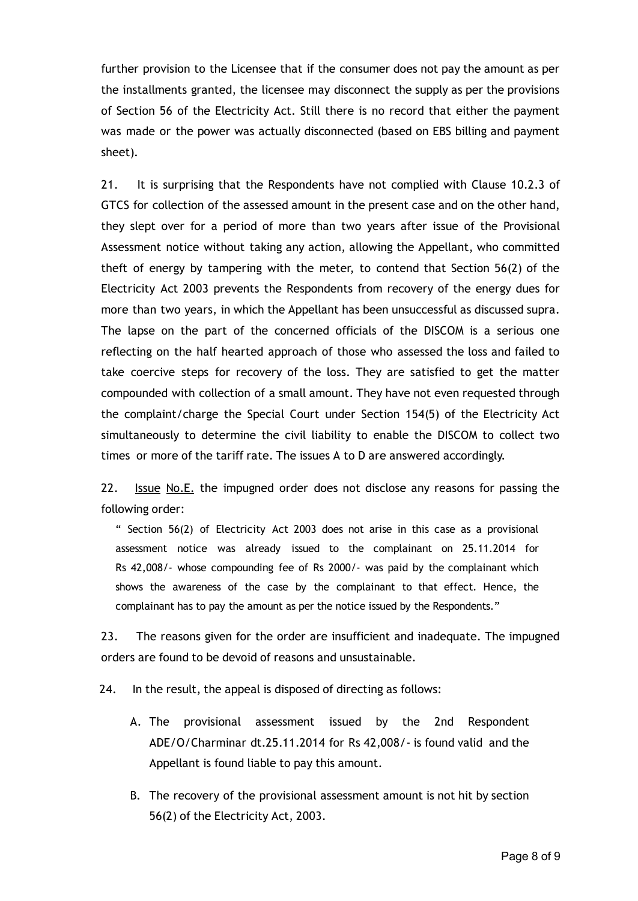further provision to the Licensee that if the consumer does not pay the amount as per the installments granted, the licensee may disconnect the supply as per the provisions of Section 56 of the Electricity Act. Still there is no record that either the payment was made or the power was actually disconnected (based on EBS billing and payment sheet).

21. It is surprising that the Respondents have not complied with Clause 10.2.3 of GTCS for collection of the assessed amount in the present case and on the other hand, they slept over for a period of more than two years after issue of the Provisional Assessment notice without taking any action, allowing the Appellant, who committed theft of energy by tampering with the meter, to contend that Section 56(2) of the Electricity Act 2003 prevents the Respondents from recovery of the energy dues for more than two years, in which the Appellant has been unsuccessful as discussed supra. The lapse on the part of the concerned officials of the DISCOM is a serious one reflecting on the half hearted approach of those who assessed the loss and failed to take coercive steps for recovery of the loss. They are satisfied to get the matter compounded with collection of a small amount. They have not even requested through the complaint/charge the Special Court under Section 154(5) of the Electricity Act simultaneously to determine the civil liability to enable the DISCOM to collect two times or more of the tariff rate. The issues A to D are answered accordingly.

22. Issue No.E. the impugned order does not disclose any reasons for passing the following order:

" Section 56(2) of Electricity Act 2003 does not arise in this case as a provisional assessment notice was already issued to the complainant on 25.11.2014 for Rs 42,008/‐ whose compounding fee of Rs 2000/‐ was paid by the complainant which shows the awareness of the case by the complainant to that effect. Hence, the complainant has to pay the amount as per the notice issued by the Respondents."

23. The reasons given for the order are insufficient and inadequate. The impugned orders are found to be devoid of reasons and unsustainable.

24. In the result, the appeal is disposed of directing as follows:

- A. The provisional assessment issued by the 2nd Respondent ADE/O/Charminar dt.25.11.2014 for Rs 42,008/‐ is found valid and the Appellant is found liable to pay this amount.
- B. The recovery of the provisional assessment amount is not hit by section 56(2) of the Electricity Act, 2003.